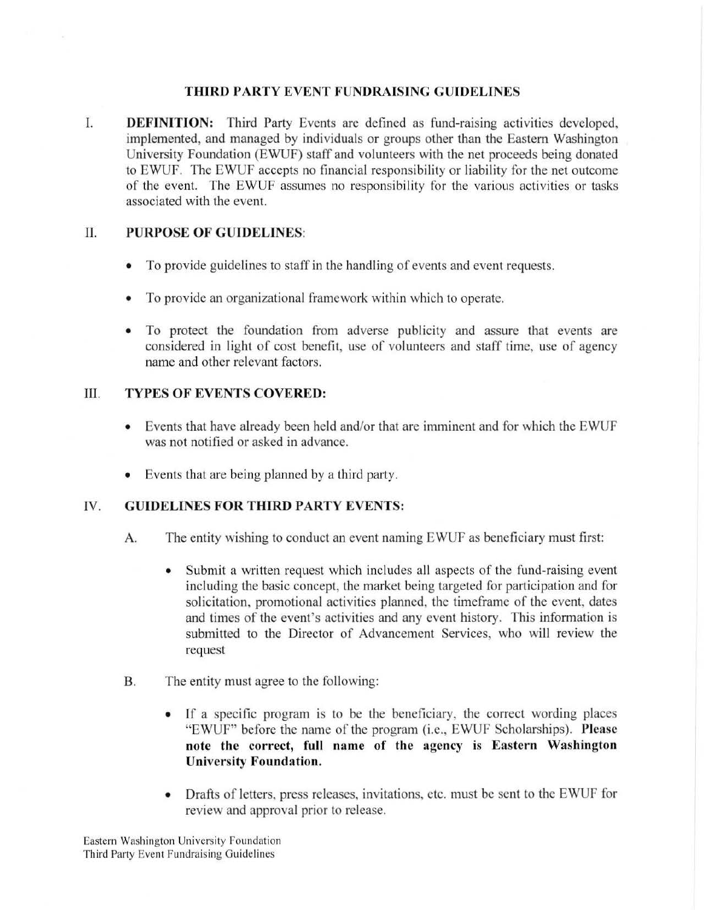#### **THIRD PARTY EVENT FUNDRAISING GUIDELINES**

I. **DEFINITION:** Third Party Events are defined as fund-raising activities developed, implemented, and managed by individuals or groups other than the Eastern Washington University Foundation (EWUF) staff and volunteers with the net proceeds being donated to EWUF. The EWUf accepts no financial responsibility or liability for the net outcome of the event. The EWUF assumes no responsibility for the various activities or tasks associated with the event.

## **II. PURPOSE OF GUIDELINES:**

- To provide guidelines to staff in the handling of events and event requests.
- To provide an organizational framework within which to operate.
- To protect the foundation from adverse publicity and assure that events are considered in light of cost benefit, use of volunteers and staff time, use of agency name and other relevant factors.

## III. **TYPES OF EVENTS COVERED:**

- Events that have already been held and/or that arc imminent and for which the EWUF was not notified or asked in advance.
- Events that are being planned by a third party.

# IV. **GUIDELINES FOR THIRD PARTY EVENTS:**

- A. The entity wishing to conduct an event naming EWUF as beneficiary must first:
	- Submit a written request which includes all aspects of the fund-raising event including the basic concept, the market being targeted for participation and for solicitation, promotional activities planned, the timeframc of the event, dates and times of the event's activities and any event history. This information is submitted to the Director of Advancement Services, who will review the request
- **B.** The entity must agree to the following:
	- If a specific program is to be the beneficiary. the correct wording places "EWUF" before the name of the program (i.e., EWUF Scholarships). **Please note the correct, full name of the agency is Eastern Washington University Foundation.**
	- Drafts of letters, press releases, invitations, etc. must be sent to the EWUF for review and approval prior to release.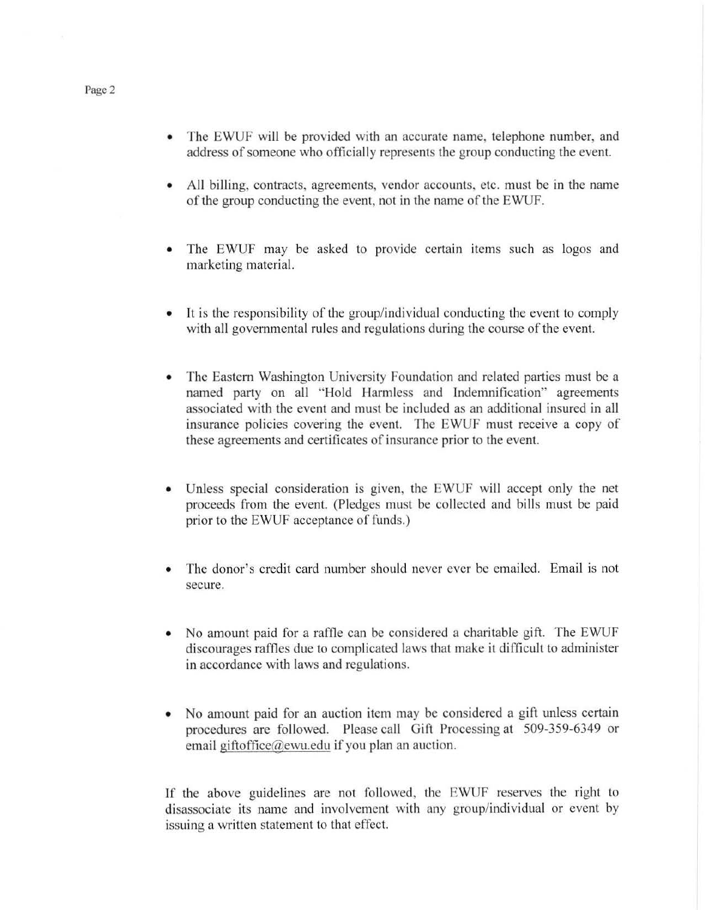- The EWUF will be provided with an accurate name, telephone number, and address of someone who officially represents the group conducting the event.
- All billing, contracts, agreements, vendor accounts. etc. must be in the name of the group conducting the event, not in the name of the EWUF.
- The EWUF may be asked to provide certain items such as logos and marketing material.
- It is the responsibility of the group/individual conducting the event to comply with all governmental rules and regulations during the course of the event.
- The Eastern Washington University Foundation and related parties must be a named party on all "Hold Harmless and Indemnification" agreements associated with the event and must be included as an additional insured in all insurance policies covering the event. The EWUF must receive a copy of these agreements and certificates of insurance prior to the event.
- Unless special consideration is given, the EWUF will accept only the net proceeds from the event. (Pledges must be collected and bills must be paid prior to the EWUF acceptance of funds.)
- The donor's credit card number should never ever be emailed. Email is not secure.
- No amount paid for a raffle can be considered a charitable gift. The EWUF discourages raffles due to complicated laws that make it diflicult to administer in accordance with laws and regulations.
- No amount paid for an auction item may be considered a gift unless certain procedures are followed. Please call Gift Processing at 509-359-6349 or email giftoffice@ewu.edu if you plan an auction.

If the above guidelines are not followed, the EWUF reserves the right to disassociate its name and involvement with any group/individual or event by issuing a written statement to that effect.

Page 2